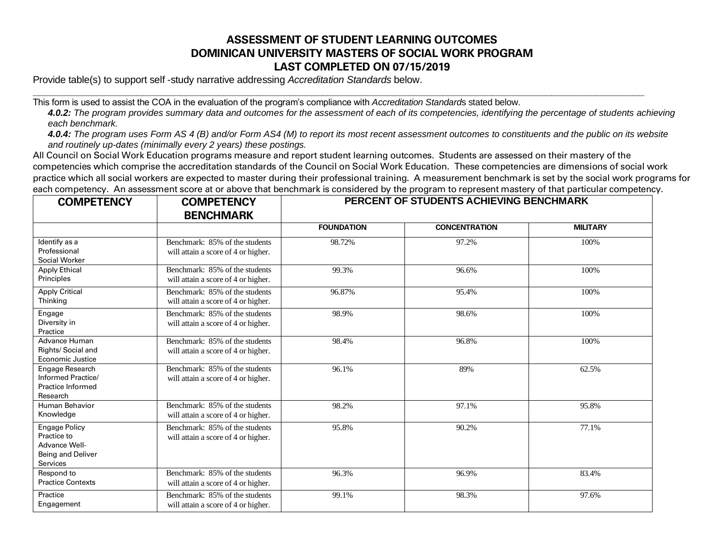## **ASSESSMENT OF STUDENT LEARNING OUTCOMES DOMINICAN UNIVERSITY MASTERS OF SOCIAL WORK PROGRAM LAST COMPLETED ON 07/15/2019**

Provide table(s) to support self -study narrative addressing *Accreditation Standards* below.

This form is used to assist the COA in the evaluation of the program's compliance with *Accreditation Standard*s stated below.

*4.0.2: The program provides summary data and outcomes for the assessment of each of its competencies, identifying the percentage of students achieving each benchmark.*

**\_\_\_\_\_\_\_\_\_\_\_\_\_\_\_\_\_\_\_\_\_\_\_\_\_\_\_\_\_\_\_\_\_\_\_\_\_\_\_\_\_\_\_\_\_\_\_\_\_\_\_\_\_\_\_\_\_\_\_\_\_\_\_\_\_\_\_\_\_\_\_\_\_\_\_\_\_\_\_\_\_\_\_\_\_\_\_\_\_\_\_\_\_\_\_\_\_\_\_\_\_\_\_\_\_\_\_\_\_\_\_\_**

*4.0.4: The program uses Form AS 4 (B) and/or Form AS4 (M) to report its most recent assessment outcomes to constituents and the public on its website and routinely up-dates (minimally every 2 years) these postings.*

All Council on Social Work Education programs measure and report student learning outcomes. Students are assessed on their mastery of the competencies which comprise the accreditation standards of the Council on Social Work Education. These competencies are dimensions of social work practice which all social workers are expected to master during their professional training. A measurement benchmark is set by the social work programs for each competency. An assessment score at or above that benchmark is considered by the program to represent mastery of that particular competency.

| <b>COMPETENCY</b>                                                                     | <b>COMPETENCY</b><br><b>BENCHMARK</b>                                 | PERCENT OF STUDENTS ACHIEVING BENCHMARK |                      |                 |
|---------------------------------------------------------------------------------------|-----------------------------------------------------------------------|-----------------------------------------|----------------------|-----------------|
|                                                                                       |                                                                       | <b>FOUNDATION</b>                       | <b>CONCENTRATION</b> | <b>MILITARY</b> |
| Identify as a<br>Professional<br>Social Worker                                        | Benchmark: 85% of the students<br>will attain a score of 4 or higher. | 98.72%                                  | 97.2%                | 100%            |
| <b>Apply Ethical</b><br>Principles                                                    | Benchmark: 85% of the students<br>will attain a score of 4 or higher. | 99.3%                                   | 96.6%                | 100%            |
| <b>Apply Critical</b><br>Thinking                                                     | Benchmark: 85% of the students<br>will attain a score of 4 or higher. | 96.87%                                  | 95.4%                | 100%            |
| Engage<br>Diversity in<br>Practice                                                    | Benchmark: 85% of the students<br>will attain a score of 4 or higher. | 98.9%                                   | 98.6%                | 100%            |
| Advance Human<br>Rights/ Social and<br>Economic Justice                               | Benchmark: 85% of the students<br>will attain a score of 4 or higher. | 98.4%                                   | 96.8%                | 100%            |
| Engage Research<br>Informed Practice/<br>Practice Informed<br>Research                | Benchmark: 85% of the students<br>will attain a score of 4 or higher. | 96.1%                                   | 89%                  | 62.5%           |
| Human Behavior<br>Knowledge                                                           | Benchmark: 85% of the students<br>will attain a score of 4 or higher. | 98.2%                                   | 97.1%                | 95.8%           |
| <b>Engage Policy</b><br>Practice to<br>Advance Well-<br>Being and Deliver<br>Services | Benchmark: 85% of the students<br>will attain a score of 4 or higher. | 95.8%                                   | 90.2%                | 77.1%           |
| Respond to<br><b>Practice Contexts</b>                                                | Benchmark: 85% of the students<br>will attain a score of 4 or higher. | 96.3%                                   | 96.9%                | 83.4%           |
| Practice<br>Engagement                                                                | Benchmark: 85% of the students<br>will attain a score of 4 or higher. | 99.1%                                   | 98.3%                | 97.6%           |